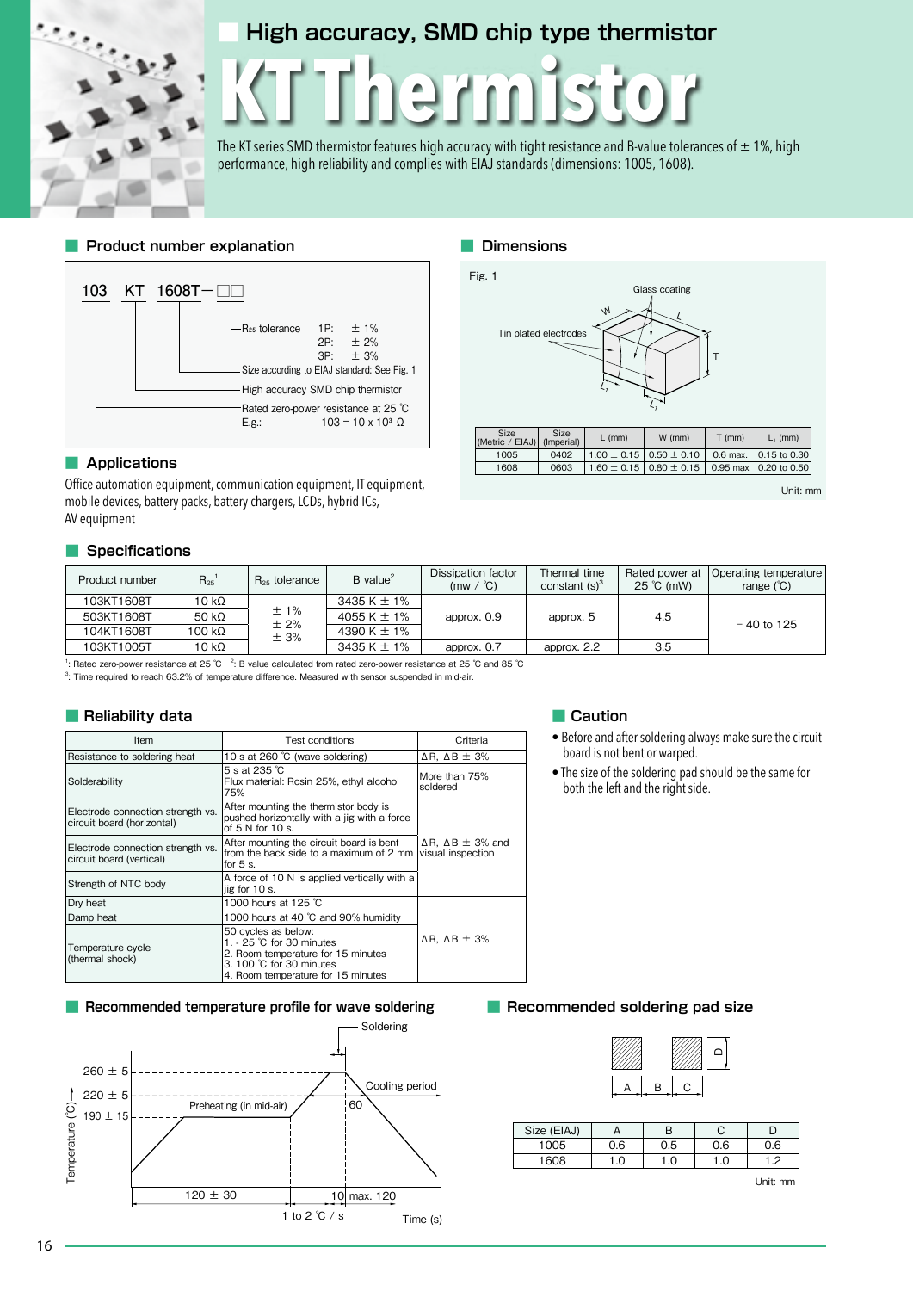## **■ High accuracy, SMD chip type thermistor**

# **KT Thermistor**

The KT series SMD thermistor features high accuracy with tight resistance and B-value tolerances of  $\pm$  1%, high performance, high reliability and complies with EIAJ standards (dimensions: 1005, 1608).

**■ Dimensions**

Fig. 1

#### **■ Product number explanation**



#### **■ Applications**

٠

Office automation equipment, communication equipment, IT mobile devices, battery packs, battery chargers, LCDs, hybrid AV equipment

#### **■ Specifications**

| hermistor                                                   |                                |                    | $\zeta$ , $\rightarrow$ |                 |            |              |  |
|-------------------------------------------------------------|--------------------------------|--------------------|-------------------------|-----------------|------------|--------------|--|
| $\rm{ce}$ at 25 $\rm{^\circ C}$<br>$\Im$ x 10 $^3$ $\Omega$ |                                |                    |                         |                 |            |              |  |
|                                                             | <b>Size</b><br>(Metric / EIAJ) | Size<br>(Imperial) | $L$ (mm)                | $W$ (mm)        | $T$ (mm)   | $L_1$ (mm)   |  |
|                                                             | 1005                           | 0402               | $1.00 \pm 0.15$         | $0.50 \pm 0.10$ | $0.6$ max. | 0.15 to 0.30 |  |
|                                                             | 1608                           | 0603               | $1.60 \pm 0.15$         | $0.80 \pm 0.15$ | $0.95$ max | 0.20 to 0.50 |  |
| Tequipment,<br>ICs,                                         |                                |                    |                         |                 |            | Unit: mm     |  |
|                                                             |                                |                    |                         |                 |            |              |  |

Tin plated electrodes

W

L

Glass coating

T

| Product number | $R_{25}$      | $R_{25}$ tolerance | $B$ value <sup>2</sup> | Dissipation factor<br>$(mw / {}^{\circ}C)$ | Thermal time<br>constant $(s)^3$ | Rated power at<br>$25^{\circ}$ C (mW) | Operating temperature<br>range $(^{\circ}C)$ |
|----------------|---------------|--------------------|------------------------|--------------------------------------------|----------------------------------|---------------------------------------|----------------------------------------------|
| 103KT1608T     | $10 k\Omega$  |                    | 3435 K $\pm$ 1%        |                                            |                                  |                                       |                                              |
| 503KT1608T     | 50 k $\Omega$ | ±1%<br>±2%         | 4055 K $\pm$ 1%        | approx. 0.9                                | approx. 5                        | 4.5                                   | $-40$ to 125                                 |
| 104KT1608T     | 100 kΩ        | ± 3%               | 4390 K $\pm$ 1%        |                                            |                                  |                                       |                                              |
| 103KT1005T     | $10 k\Omega$  |                    | 3435 K $\pm$ 1%        | approx. 0.7                                | approx. 2.2                      | 3.5                                   |                                              |

<sup>1</sup>: Rated zero-power resistance at 25 ℃ <sup>2</sup>: B value calculated from rated zero-power resistance at 25 ℃ and 85 ℃

3 : Time required to reach 63.2% of temperature difference. Measured with sensor suspended in mid-air.

#### **■ Reliability data**

| Item                                                            | <b>Test conditions</b>                                                                                                                                                     | Criteria                                                 |
|-----------------------------------------------------------------|----------------------------------------------------------------------------------------------------------------------------------------------------------------------------|----------------------------------------------------------|
| Resistance to soldering heat                                    | 10 s at 260 °C (wave soldering)                                                                                                                                            | $\Delta$ R. $\Delta$ B $\pm$ 3%                          |
| Solderability                                                   | $5s$ at 235 $°C$<br>Flux material: Rosin 25%, ethyl alcohol<br>75%                                                                                                         | More than 75%<br>soldered                                |
| Electrode connection strength vs.<br>circuit board (horizontal) | After mounting the thermistor body is<br>pushed horizontally with a jig with a force<br>of $5 N$ for $10 s$ .                                                              |                                                          |
| Electrode connection strength vs.<br>circuit board (vertical)   | After mounting the circuit board is bent<br>from the back side to a maximum of 2 mm<br>for $5s$ .                                                                          | $\Delta$ R, $\Delta$ B $\pm$ 3% and<br>visual inspection |
| Strength of NTC body                                            | A force of 10 N is applied vertically with a<br>jig for 10 s.                                                                                                              |                                                          |
| Dry heat                                                        | 1000 hours at 125 °C                                                                                                                                                       |                                                          |
| Damp heat                                                       | 1000 hours at 40 °C and 90% humidity                                                                                                                                       |                                                          |
| Temperature cycle<br>(thermal shock)                            | 50 cycles as below:<br>1. $-25$ °C for 30 minutes<br>2. Room temperature for 15 minutes<br>$3.100 \degree$ C for $30 \space$ minutes<br>4. Room temperature for 15 minutes | $\Delta$ R. $\Delta$ B $\pm$ 3%                          |

#### **■ Recommended temperature profile for wave soldering ■ Recommended soldering pad size**



#### **■ Caution**

- Before and after soldering always make sure the circuit board is not bent or warped.
- The size of the soldering pad should be the same for both the left and the right side.

| ∕∆ |   | $^{\prime\prime\prime}$ | ≏ |
|----|---|-------------------------|---|
|    | R | Γ.                      |   |

| Size (EIAJ) |     |     |     |     |
|-------------|-----|-----|-----|-----|
| 1005        | 0.6 | 0.5 | 0.6 | 0.6 |
| 1608        | .0  | 0.  |     | 10  |

Unit: mm